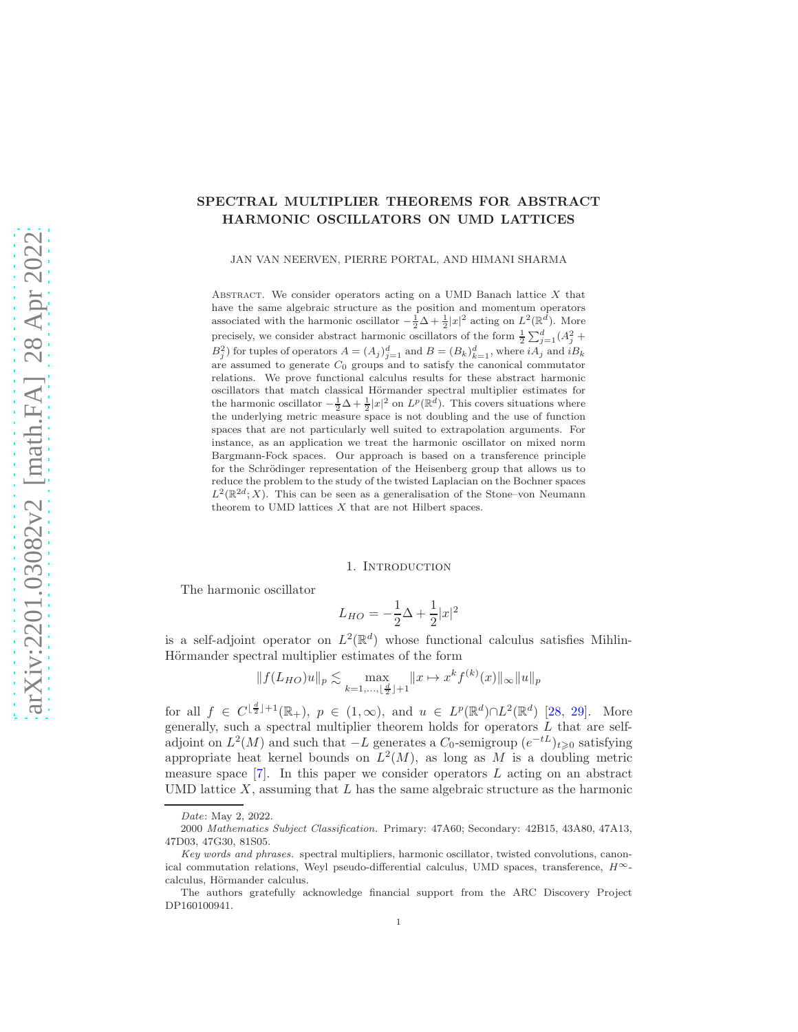# SPECTRAL MULTIPLIER THEOREMS FOR ABSTRACT HARMONIC OSCILLATORS ON UMD LATTICES

JAN VAN NEERVEN, PIERRE PORTAL, AND HIMANI SHARMA

ABSTRACT. We consider operators acting on a UMD Banach lattice  $X$  that have the same algebraic structure as the position and momentum operators associated with the harmonic oscillator  $-\frac{1}{2}\Delta + \frac{1}{2}|x|^2$  acting on  $L^2(\mathbb{R}^d)$ . More precisely, we consider abstract harmonic oscillators of the form  $\frac{1}{2} \sum_{j=1}^{d} (A_j^2 + B_j^2)$  for tuples of operators  $A = (A_j)_{j=1}^d$  and  $B = (B_k)_{k=1}^d$ , where  $iA_j$  and  $iB_k$ are assumed to generate  $C_0$  groups and to satisfy the canonical commutator relations. We prove functional calculus results for these abstract harmonic oscillators that match classical Hörmander spectral multiplier estimates for the harmonic oscillator  $-\frac{1}{2}\Delta + \frac{1}{2}|x|^2$  on  $L^p(\mathbb{R}^d)$ . This covers situations where the underlying metric measure space is not doubling and the use of function spaces that are not particularly well suited to extrapolation arguments. For instance, as an application we treat the harmonic oscillator on mixed norm Bargmann-Fock spaces. Our approach is based on a transference principle for the Schrödinger representation of the Heisenberg group that allows us to reduce the problem to the study of the twisted Laplacian on the Bochner spaces  $L^2(\mathbb{R}^{2d};X)$ . This can be seen as a generalisation of the Stone–von Neumann theorem to UMD lattices  $X$  that are not Hilbert spaces.

#### 1. Introduction

The harmonic oscillator

$$
L_{HO} = -\frac{1}{2}\Delta + \frac{1}{2}|x|^2
$$

is a self-adjoint operator on  $L^2(\mathbb{R}^d)$  whose functional calculus satisfies Mihlin-Hörmander spectral multiplier estimates of the form

$$
||f(L_{HO})u||_{p} \lesssim \max_{k=1,\dots,\lfloor\frac{d}{2}\rfloor+1} ||x \mapsto x^{k} f^{(k)}(x)||_{\infty} ||u||_{p}
$$

for all  $f \in C^{\lfloor \frac{d}{2} \rfloor + 1}(\mathbb{R}_+), p \in (1, \infty)$ , and  $u \in L^p(\mathbb{R}^d) \cap L^2(\mathbb{R}^d)$  [\[28,](#page-12-0) [29\]](#page-12-1). More generally, such a spectral multiplier theorem holds for operators  $L$  that are selfadjoint on  $L^2(M)$  and such that  $-L$  generates a  $C_0$ -semigroup  $(e^{-tL})_{t\geq 0}$  satisfying appropriate heat kernel bounds on  $L^2(M)$ , as long as M is a doubling metric measure space  $[7]$ . In this paper we consider operators L acting on an abstract UMD lattice  $X$ , assuming that  $L$  has the same algebraic structure as the harmonic

Date: May 2, 2022.

<sup>2000</sup> Mathematics Subject Classification. Primary: 47A60; Secondary: 42B15, 43A80, 47A13, 47D03, 47G30, 81S05.

Key words and phrases. spectral multipliers, harmonic oscillator, twisted convolutions, canonical commutation relations, Weyl pseudo-differential calculus, UMD spaces, transference,  $H^{\infty}$ calculus, Hörmander calculus.

The authors gratefully acknowledge financial support from the ARC Discovery Project DP160100941.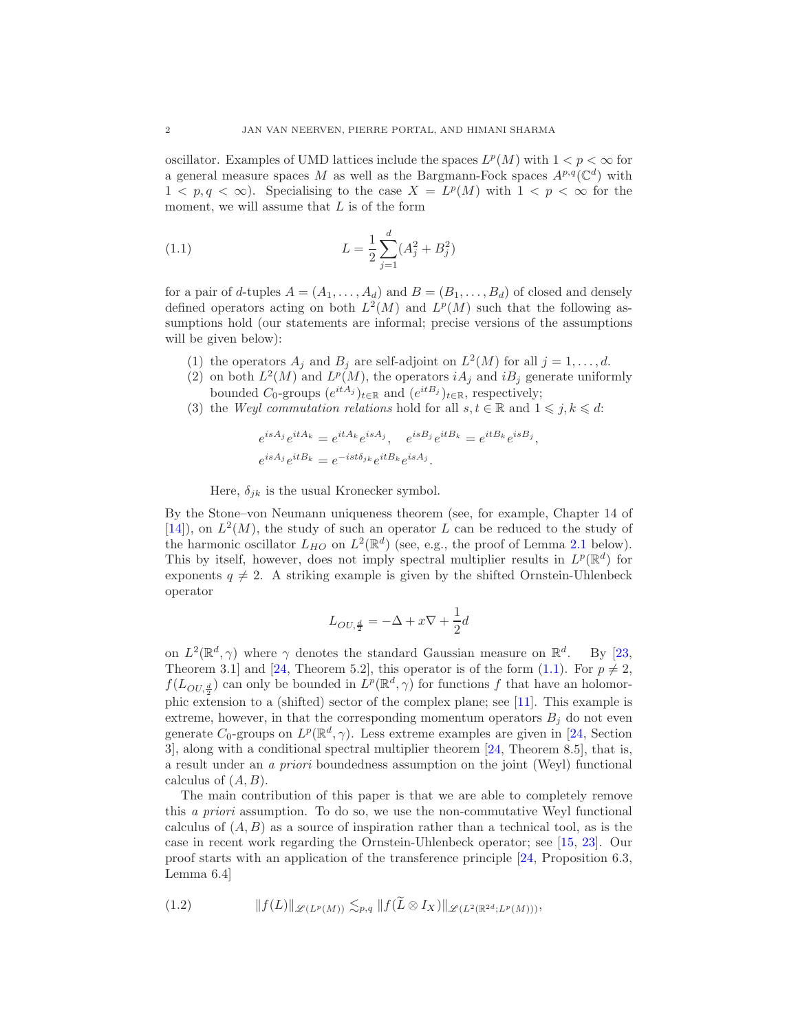oscillator. Examples of UMD lattices include the spaces  $L^p(M)$  with  $1 < p < \infty$  for a general measure spaces M as well as the Bargmann-Fock spaces  $A^{p,q}(\mathbb{C}^d)$  with  $1 < p, q < \infty$ ). Specialising to the case  $X = L^p(M)$  with  $1 < p < \infty$  for the moment, we will assume that  $L$  is of the form

<span id="page-1-0"></span>(1.1) 
$$
L = \frac{1}{2} \sum_{j=1}^{d} (A_j^2 + B_j^2)
$$

for a pair of d-tuples  $A = (A_1, \ldots, A_d)$  and  $B = (B_1, \ldots, B_d)$  of closed and densely defined operators acting on both  $L^2(M)$  and  $L^p(M)$  such that the following assumptions hold (our statements are informal; precise versions of the assumptions will be given below):

- <span id="page-1-1"></span>(1) the operators  $A_j$  and  $B_j$  are self-adjoint on  $L^2(M)$  for all  $j = 1, ..., d$ .
- (2) on both  $L^2(M)$  and  $L^p(M)$ , the operators  $iA_j$  and  $iB_j$  generate uniformly bounded  $C_0$ -groups  $(e^{itA_j})_{t \in \mathbb{R}}$  and  $(e^{itB_j})_{t \in \mathbb{R}}$ , respectively;
- <span id="page-1-2"></span>(3) the Weyl commutation relations hold for all  $s, t \in \mathbb{R}$  and  $1 \leq j, k \leq d$ :

$$
e^{isA_j}e^{itA_k} = e^{itA_k}e^{isA_j}, \quad e^{isB_j}e^{itB_k} = e^{itB_k}e^{isB_j},
$$
  

$$
e^{isA_j}e^{itB_k} = e^{-ist\delta_{jk}}e^{itB_k}e^{isA_j}.
$$

Here,  $\delta_{ik}$  is the usual Kronecker symbol.

By the Stone–von Neumann uniqueness theorem (see, for example, Chapter 14 of  $[14]$ , on  $L^2(M)$ , the study of such an operator L can be reduced to the study of the harmonic oscillator  $L_{HO}$  on  $L^2(\mathbb{R}^d)$  (see, e.g., the proof of Lemma [2.1](#page-4-0) below). This by itself, however, does not imply spectral multiplier results in  $L^p(\mathbb{R}^d)$  for exponents  $q \neq 2$ . A striking example is given by the shifted Ornstein-Uhlenbeck operator

$$
L_{OU, \frac{d}{2}} = -\Delta + x\nabla + \frac{1}{2}d
$$

on  $L^2(\mathbb{R}^d, \gamma)$  where  $\gamma$  denotes the standard Gaussian measure on  $\mathbb{R}^d$ . By [\[23,](#page-12-4) Theorem 3.1 and [\[24,](#page-12-5) Theorem 5.2], this operator is of the form [\(1.1\)](#page-1-0). For  $p \neq 2$ ,  $f(L_{OU, \frac{d}{2}})$  can only be bounded in  $L^p(\mathbb{R}^d, \gamma)$  for functions f that have an holomor-phic extension to a (shifted) sector of the complex plane; see [\[11\]](#page-12-6). This example is extreme, however, in that the corresponding momentum operators  $B_i$  do not even generate  $C_0$ -groups on  $L^p(\mathbb{R}^d, \gamma)$ . Less extreme examples are given in [\[24,](#page-12-5) Section 3], along with a conditional spectral multiplier theorem [\[24,](#page-12-5) Theorem 8.5], that is, a result under an a priori boundedness assumption on the joint (Weyl) functional calculus of  $(A, B)$ .

The main contribution of this paper is that we are able to completely remove this a priori assumption. To do so, we use the non-commutative Weyl functional calculus of  $(A, B)$  as a source of inspiration rather than a technical tool, as is the case in recent work regarding the Ornstein-Uhlenbeck operator; see [\[15,](#page-12-7) [23\]](#page-12-4). Our proof starts with an application of the transference principle [\[24,](#page-12-5) Proposition 6.3, Lemma 6.4]

$$
(1.2) \t\t\t ||f(L)||_{\mathscr{L}(L^p(M))} \lesssim_{p,q} ||f(\tilde{L} \otimes I_X)||_{\mathscr{L}(L^2(\mathbb{R}^{2d};L^p(M)))},
$$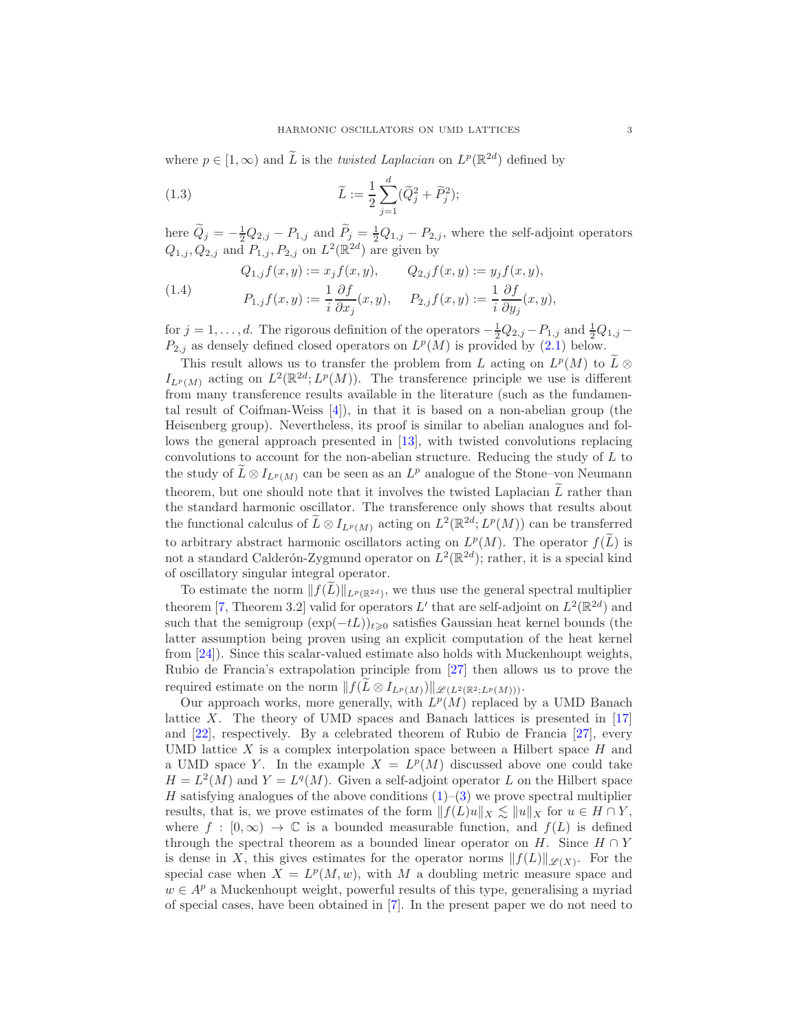where  $p \in [1, \infty)$  and  $\widetilde{L}$  is the *twisted Laplacian* on  $L^p(\mathbb{R}^{2d})$  defined by

<span id="page-2-0"></span>(1.3) 
$$
\widetilde{L} := \frac{1}{2} \sum_{j=1}^{d} (\widetilde{Q}_{j}^{2} + \widetilde{P}_{j}^{2});
$$

here  $\tilde{Q}_j = -\frac{1}{2}Q_{2,j} - P_{1,j}$  and  $\tilde{P}_j = \frac{1}{2}Q_{1,j} - P_{2,j}$ , where the self-adjoint operators  $Q_{1,j}, Q_{2,j}$  and  $P_{1,j}, P_{2,j}$  on  $L^2(\mathbb{R}^{2d})$  are given by

<span id="page-2-1"></span>(1.4) 
$$
Q_{1,j}f(x,y) := x_j f(x,y), \qquad Q_{2,j}f(x,y) := y_j f(x,y),
$$

$$
P_{1,j}f(x,y) := \frac{1}{i} \frac{\partial f}{\partial x_j}(x,y), \qquad P_{2,j}f(x,y) := \frac{1}{i} \frac{\partial f}{\partial y_j}(x,y),
$$

for  $j = 1, ..., d$ . The rigorous definition of the operators  $-\frac{1}{2}Q_{2,j} - P_{1,j}$  and  $\frac{1}{2}Q_{1,j} P_{2,j}$  as densely defined closed operators on  $L^p(M)$  is provided by  $(2.1)$  below.

This result allows us to transfer the problem from L acting on  $L^p(M)$  to  $\tilde{L} \otimes$  $I_{L^p(M)}$  acting on  $L^2(\mathbb{R}^{2d}; L^p(M))$ . The transference principle we use is different from many transference results available in the literature (such as the fundamental result of Coifman-Weiss [\[4\]](#page-11-0)), in that it is based on a non-abelian group (the Heisenberg group). Nevertheless, its proof is similar to abelian analogues and follows the general approach presented in [\[13\]](#page-12-8), with twisted convolutions replacing convolutions to account for the non-abelian structure. Reducing the study of L to the study of  $\widetilde{L} \otimes I_{L^p(M)}$  can be seen as an  $L^p$  analogue of the Stone–von Neumann theorem, but one should note that it involves the twisted Laplacian  $L$  rather than the standard harmonic oscillator. The transference only shows that results about the functional calculus of  $\widetilde{L} \otimes I_{L^p(M)}$  acting on  $L^2(\mathbb{R}^{2d}; L^p(M))$  can be transferred to arbitrary abstract harmonic oscillators acting on  $L^p(M)$ . The operator  $f(L)$  is not a standard Calderón-Zygmund operator on  $L^2(\mathbb{R}^{2d})$ ; rather, it is a special kind of oscillatory singular integral operator.

To estimate the norm  $|| f(L) ||_{L^p(\mathbb{R}^{2d})}$ , we thus use the general spectral multiplier theorem [\[7,](#page-12-2) Theorem 3.2] valid for operators L' that are self-adjoint on  $L^2(\mathbb{R}^{2d})$  and such that the semigroup  $(\exp(-tL))_{t\geq 0}$  satisfies Gaussian heat kernel bounds (the latter assumption being proven using an explicit computation of the heat kernel from [\[24\]](#page-12-5)). Since this scalar-valued estimate also holds with Muckenhoupt weights, Rubio de Francia's extrapolation principle from [\[27\]](#page-12-9) then allows us to prove the required estimate on the norm  $|| f(\tilde{L} \otimes I_{L^p(M)})||_{\mathscr{L}(L^2(\mathbb{R}^2;L^p(M)))}$ .

Our approach works, more generally, with  $L^p(M)$  replaced by a UMD Banach lattice X. The theory of UMD spaces and Banach lattices is presented in  $[17]$ and [\[22\]](#page-12-11), respectively. By a celebrated theorem of Rubio de Francia [\[27\]](#page-12-9), every UMD lattice X is a complex interpolation space between a Hilbert space  $H$  and a UMD space Y. In the example  $X = L^p(M)$  discussed above one could take  $H = L<sup>2</sup>(M)$  and  $Y = L<sup>q</sup>(M)$ . Given a self-adjoint operator L on the Hilbert space H satisfying analogues of the above conditions  $(1)$ – $(3)$  we prove spectral multiplier results, that is, we prove estimates of the form  $||f(L)u||_X \lesssim ||u||_X$  for  $u \in H \cap Y$ , where  $f : [0, \infty) \to \mathbb{C}$  is a bounded measurable function, and  $f(L)$  is defined through the spectral theorem as a bounded linear operator on H. Since  $H \cap Y$ is dense in X, this gives estimates for the operator norms  $||f(L)||_{\mathscr{L}(X)}$ . For the special case when  $X = L^p(M, w)$ , with M a doubling metric measure space and  $w \in A^p$  a Muckenhoupt weight, powerful results of this type, generalising a myriad of special cases, have been obtained in [\[7\]](#page-12-2). In the present paper we do not need to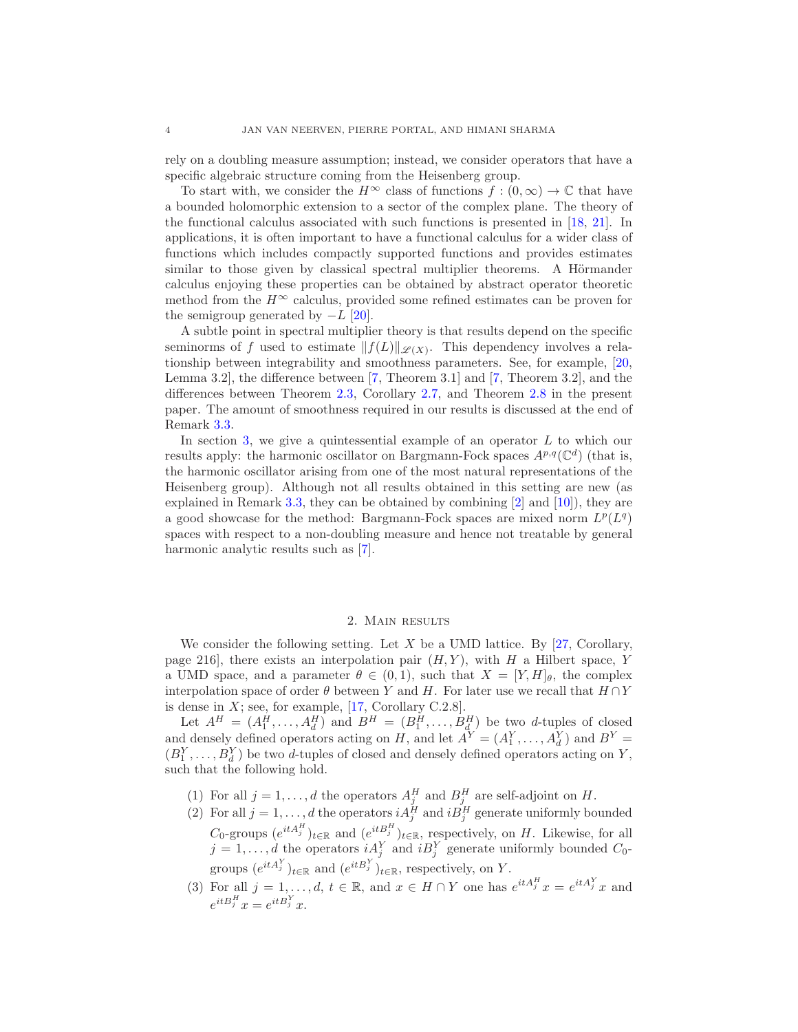rely on a doubling measure assumption; instead, we consider operators that have a specific algebraic structure coming from the Heisenberg group.

To start with, we consider the  $H^{\infty}$  class of functions  $f:(0,\infty) \to \mathbb{C}$  that have a bounded holomorphic extension to a sector of the complex plane. The theory of the functional calculus associated with such functions is presented in [\[18,](#page-12-12) [21\]](#page-12-13). In applications, it is often important to have a functional calculus for a wider class of functions which includes compactly supported functions and provides estimates similar to those given by classical spectral multiplier theorems. A Hörmander calculus enjoying these properties can be obtained by abstract operator theoretic method from the  $H^{\infty}$  calculus, provided some refined estimates can be proven for the semigroup generated by  $-L$  [\[20\]](#page-12-14).

A subtle point in spectral multiplier theory is that results depend on the specific seminorms of f used to estimate  $||f(L)||_{\mathscr{L}(X)}$ . This dependency involves a relationship between integrability and smoothness parameters. See, for example, [\[20,](#page-12-14) Lemma 3.2], the difference between [\[7,](#page-12-2) Theorem 3.1] and [\[7,](#page-12-2) Theorem 3.2], and the differences between Theorem [2.3,](#page-6-0) Corollary [2.7,](#page-8-0) and Theorem [2.8](#page-9-0) in the present paper. The amount of smoothness required in our results is discussed at the end of Remark [3.3.](#page-10-0)

In section [3,](#page-9-1) we give a quintessential example of an operator  $L$  to which our results apply: the harmonic oscillator on Bargmann-Fock spaces  $A^{p,q}(\mathbb{C}^d)$  (that is, the harmonic oscillator arising from one of the most natural representations of the Heisenberg group). Although not all results obtained in this setting are new (as explained in Remark [3.3,](#page-10-0) they can be obtained by combining [\[2\]](#page-11-1) and [\[10\]](#page-12-15)), they are a good showcase for the method: Bargmann-Fock spaces are mixed norm  $L^p(L^q)$ spaces with respect to a non-doubling measure and hence not treatable by general harmonic analytic results such as [\[7\]](#page-12-2).

# 2. Main results

<span id="page-3-1"></span>We consider the following setting. Let  $X$  be a UMD lattice. By [\[27,](#page-12-9) Corollary, page 216, there exists an interpolation pair  $(H, Y)$ , with H a Hilbert space, Y a UMD space, and a parameter  $\theta \in (0,1)$ , such that  $X = [Y, H]_{\theta}$ , the complex interpolation space of order  $\theta$  between Y and H. For later use we recall that  $H \cap Y$ is dense in  $X$ ; see, for example, [\[17,](#page-12-10) Corollary C.2.8].

Let  $A^H = (A_1^H, \ldots, A_d^H)$  and  $B^H = (B_1^H, \ldots, B_d^H)$  be two d-tuples of closed and densely defined operators acting on H, and let  $A^Y = (A_1^Y, \ldots, A_d^Y)$  and  $B^Y =$  $(B_1^Y, \ldots, B_d^Y)$  be two *d*-tuples of closed and densely defined operators acting on Y, such that the following hold.

- (1) For all  $j = 1, ..., d$  the operators  $A_j^H$  and  $B_j^H$  are self-adjoint on H.
- (2) For all  $j = 1, ..., d$  the operators  $i A_j^H$  and  $i B_j^H$  generate uniformly bounded  $C_0$ -groups  $(e^{itA_j^H})_{t\in\mathbb{R}}$  and  $(e^{itB_j^H})_{t\in\mathbb{R}}$ , respectively, on H. Likewise, for all  $j = 1, \ldots, d$  the operators  $i A_j^Y$  and  $i B_j^Y$  generate uniformly bounded  $C_0$ groups  $(e^{itA_j^Y})_{t\in\mathbb{R}}$  and  $(e^{itB_j^Y})_{t\in\mathbb{R}}$ , respectively, on Y.
- <span id="page-3-0"></span>(3) For all  $j = 1, ..., d, t \in \mathbb{R}$ , and  $x \in H \cap Y$  one has  $e^{itA_j^H}x = e^{itA_j^Y}x$  and  $e^{itB_j^H}x = e^{itB_j^Y}x.$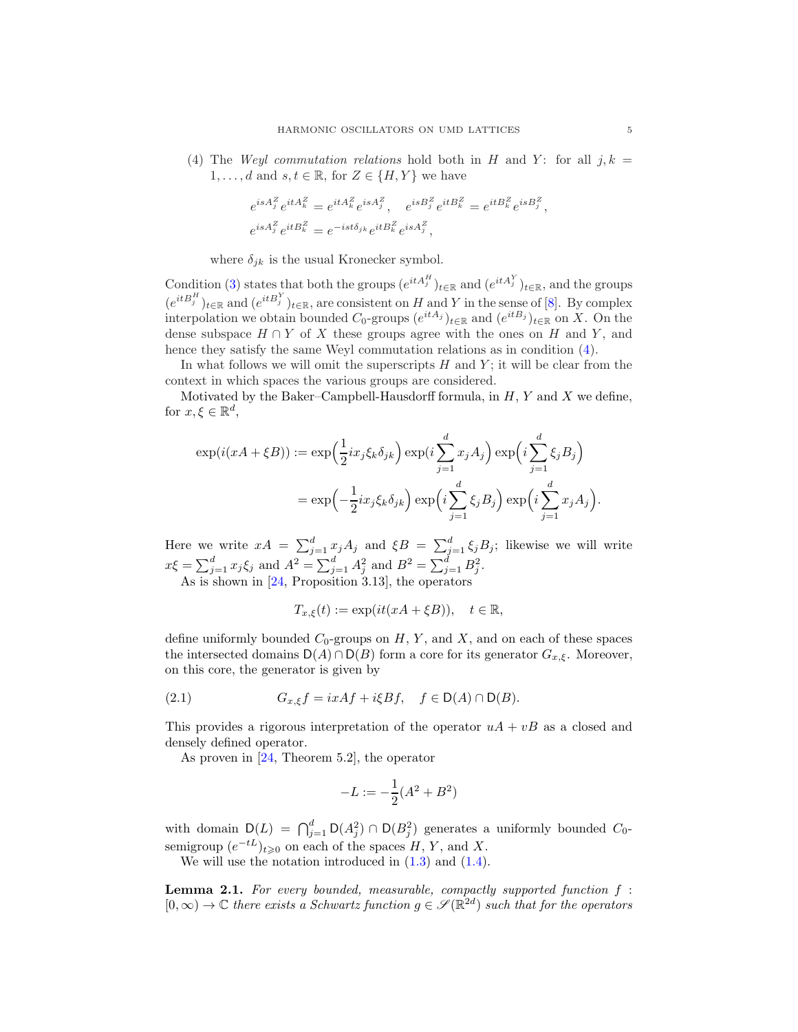<span id="page-4-2"></span>(4) The Weyl commutation relations hold both in H and Y: for all  $j, k =$  $1, \ldots, d$  and  $s, t \in \mathbb{R}$ , for  $Z \in \{H, Y\}$  we have

$$
\begin{split} e^{isA_j^Z}e^{itA_k^Z} &= e^{itA_k^Z}e^{isA_j^Z},\quad e^{isB_j^Z}e^{itB_k^Z} &= e^{itB_k^Z}e^{isB_j^Z},\\ e^{isA_j^Z}e^{itB_k^Z} &= e^{-ist\delta_{jk}}e^{itB_k^Z}e^{isA_j^Z}, \end{split}
$$

where  $\delta_{jk}$  is the usual Kronecker symbol.

Condition [\(3\)](#page-3-0) states that both the groups  $(e^{itA_j^H})_{t\in\mathbb{R}}$  and  $(e^{itA_j^V})_{t\in\mathbb{R}}$ , and the groups  $(e^{itB_j^H})_{t\in\mathbb{R}}$  and  $(e^{itB_j^Y})_{t\in\mathbb{R}}$ , are consistent on H and Y in the sense of [\[8\]](#page-12-16). By complex interpolation we obtain bounded  $C_0$ -groups  $(e^{itA_j})_{t\in\mathbb{R}}$  and  $(e^{itB_j})_{t\in\mathbb{R}}$  on X. On the dense subspace  $H \cap Y$  of X these groups agree with the ones on H and Y, and hence they satisfy the same Weyl commutation relations as in condition  $(4)$ .

In what follows we will omit the superscripts  $H$  and  $Y$ ; it will be clear from the context in which spaces the various groups are considered.

Motivated by the Baker–Campbell-Hausdorff formula, in  $H$ ,  $Y$  and  $X$  we define, for  $x, \xi \in \mathbb{R}^d$ ,

$$
\exp(i(xA + \xi B)) := \exp\left(\frac{1}{2}ix_j\xi_k\delta_{jk}\right) \exp\left(i\sum_{j=1}^d x_jA_j\right) \exp\left(i\sum_{j=1}^d \xi_jB_j\right)
$$

$$
= \exp\left(-\frac{1}{2}ix_j\xi_k\delta_{jk}\right) \exp\left(i\sum_{j=1}^d \xi_jB_j\right) \exp\left(i\sum_{j=1}^d x_jA_j\right).
$$

Here we write  $xA = \sum_{j=1}^d x_j A_j$  and  $\xi B = \sum_{j=1}^d \xi_j B_j$ ; likewise we will write  $x\xi = \sum_{j=1}^{d} x_j \xi_j$  and  $A^2 = \sum_{j=1}^{d} A_j^2$  and  $B^2 = \sum_{j=1}^{d} B_j^2$ .

As is shown in [\[24,](#page-12-5) Proposition 3.13], the operators

$$
T_{x,\xi}(t) := \exp(it(xA + \xi B)), \quad t \in \mathbb{R},
$$

define uniformly bounded  $C_0$ -groups on  $H, Y$ , and  $X$ , and on each of these spaces the intersected domains  $D(A) \cap D(B)$  form a core for its generator  $G_{x,\xi}$ . Moreover, on this core, the generator is given by

<span id="page-4-1"></span>(2.1) 
$$
G_{x,\xi}f = ixAf + i\xi Bf, \quad f \in \mathsf{D}(A) \cap \mathsf{D}(B).
$$

This provides a rigorous interpretation of the operator  $uA + vB$  as a closed and densely defined operator.

As proven in [\[24,](#page-12-5) Theorem 5.2], the operator

$$
-L := -\frac{1}{2}(A^2 + B^2)
$$

with domain  $D(L) = \bigcap_{j=1}^{d} D(A_j^2) \cap D(B_j^2)$  generates a uniformly bounded  $C_0$ semigroup  $(e^{-tL})_{t\geqslant 0}$  on each of the spaces  $H, Y$ , and X.

We will use the notation introduced in  $(1.3)$  and  $(1.4)$ .

<span id="page-4-0"></span>**Lemma 2.1.** For every bounded, measurable, compactly supported function  $f$ :  $[0, \infty) \to \mathbb{C}$  there exists a Schwartz function  $g \in \mathscr{S}(\mathbb{R}^{2d})$  such that for the operators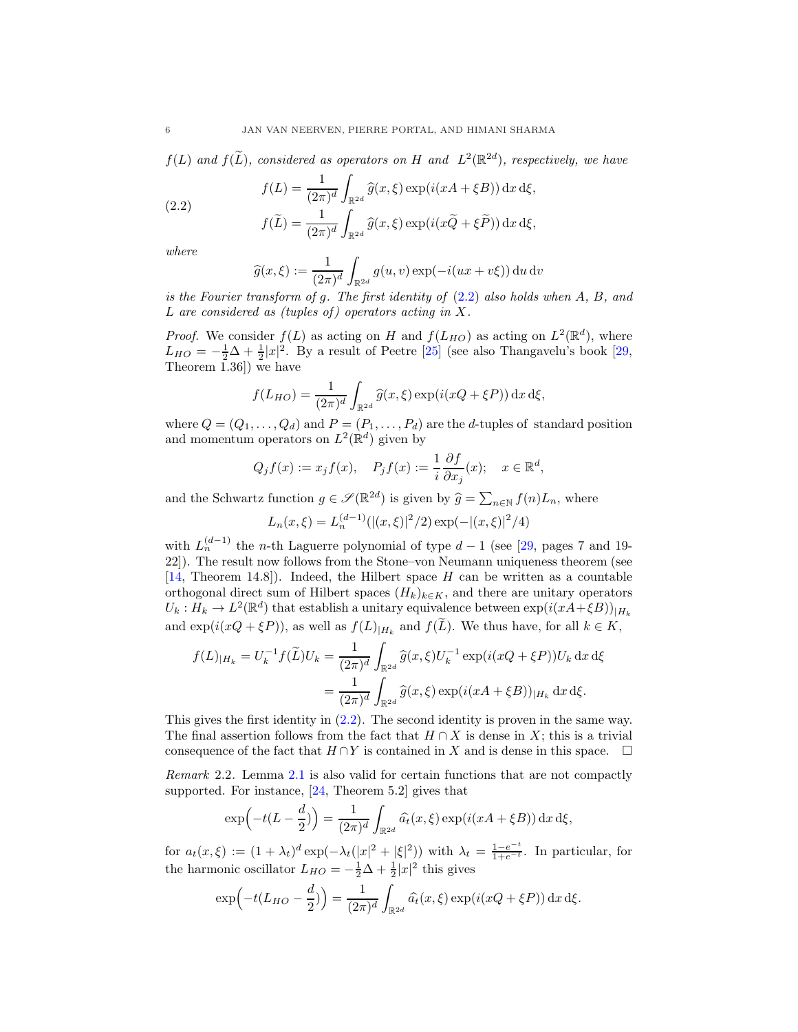$f(L)$  and  $f(\tilde{L})$ , considered as operators on H and  $L^2(\mathbb{R}^{2d})$ , respectively, we have

(2.2) 
$$
f(L) = \frac{1}{(2\pi)^d} \int_{\mathbb{R}^{2d}} \widehat{g}(x,\xi) \exp(i(xA + \xi B)) dx d\xi,
$$

$$
f(\widetilde{L}) = \frac{1}{(2\pi)^d} \int_{\mathbb{R}^{2d}} \widehat{g}(x,\xi) \exp(i(x\widetilde{Q} + \xi \widetilde{P})) dx d\xi,
$$

where

<span id="page-5-0"></span>
$$
\widehat{g}(x,\xi) := \frac{1}{(2\pi)^d} \int_{\mathbb{R}^{2d}} g(u,v) \exp(-i(ux+v\xi)) \, du \, dv
$$

is the Fourier transform of g. The first identity of [\(2.2\)](#page-5-0) also holds when A, B, and L are considered as (tuples of) operators acting in X.

*Proof.* We consider  $f(L)$  as acting on H and  $f(L_{HO})$  as acting on  $L^2(\mathbb{R}^d)$ , where  $L_{HO} = -\frac{1}{2}\Delta + \frac{1}{2}|x|^2$ . By a result of Peetre [\[25\]](#page-12-17) (see also Thangavelu's book [\[29,](#page-12-1) Theorem 1.36]) we have

$$
f(L_{HO}) = \frac{1}{(2\pi)^{d}} \int_{\mathbb{R}^{2d}} \hat{g}(x,\xi) \exp(i(xQ + \xi P)) dx d\xi,
$$

where  $Q = (Q_1, \ldots, Q_d)$  and  $P = (P_1, \ldots, P_d)$  are the d-tuples of standard position and momentum operators on  $L^2(\mathbb{R}^d)$  given by

$$
Q_j f(x) := x_j f(x),
$$
  $P_j f(x) := \frac{1}{i} \frac{\partial f}{\partial x_j}(x);$   $x \in \mathbb{R}^d$ ,

and the Schwartz function  $g \in \mathscr{S}(\mathbb{R}^{2d})$  is given by  $\widehat{g} = \sum_{n \in \mathbb{N}} f(n) L_n$ , where

$$
L_n(x,\xi) = L_n^{(d-1)}(|(x,\xi)|^2/2) \exp(-|(x,\xi)|^2/4)
$$

with  $L_n^{(d-1)}$  the n-th Laguerre polynomial of type  $d-1$  (see [\[29,](#page-12-1) pages 7 and 19-22]). The result now follows from the Stone–von Neumann uniqueness theorem (see  $[14,$  Theorem 14.8]). Indeed, the Hilbert space H can be written as a countable orthogonal direct sum of Hilbert spaces  $(H_k)_{k\in K}$ , and there are unitary operators  $U_k: H_k \to L^2(\mathbb{R}^d)$  that establish a unitary equivalence between  $\exp(i(xA+\xi B))_{|H_k}$ and  $\exp(i(xQ + \xi P))$ , as well as  $f(L)_{|H_k}$  and  $f(L)$ . We thus have, for all  $k \in K$ ,

$$
f(L)_{|H_k} = U_k^{-1} f(\tilde{L}) U_k = \frac{1}{(2\pi)^d} \int_{\mathbb{R}^{2d}} \hat{g}(x,\xi) U_k^{-1} \exp(i(xQ + \xi P)) U_k \, dx \, d\xi
$$
  
= 
$$
\frac{1}{(2\pi)^d} \int_{\mathbb{R}^{2d}} \hat{g}(x,\xi) \exp(i(xA + \xi B))_{|H_k} \, dx \, d\xi.
$$

This gives the first identity in [\(2.2\)](#page-5-0). The second identity is proven in the same way. The final assertion follows from the fact that  $H \cap X$  is dense in X; this is a trivial consequence of the fact that  $H \cap Y$  is contained in X and is dense in this space.  $\Box$ 

<span id="page-5-1"></span>Remark 2.2. Lemma [2.1](#page-4-0) is also valid for certain functions that are not compactly supported. For instance, [\[24,](#page-12-5) Theorem 5.2] gives that

$$
\exp\left(-t(L-\frac{d}{2})\right) = \frac{1}{(2\pi)^d} \int_{\mathbb{R}^{2d}} \hat{a}_t(x,\xi) \exp(i(xA+\xi B)) \,dx \,d\xi,
$$

for  $a_t(x,\xi) := (1 + \lambda_t)^d \exp(-\lambda_t(|x|^2 + |\xi|^2))$  with  $\lambda_t = \frac{1 - e^{-t}}{1 + e^{-t}}$  $\frac{1-e^{-t}}{1+e^{-t}}$ . In particular, for the harmonic oscillator  $L_{HO} = -\frac{1}{2}\Delta + \frac{1}{2}|x|^2$  this gives

$$
\exp\left(-t(L_{HO}-\frac{d}{2})\right)=\frac{1}{(2\pi)^d}\int_{\mathbb{R}^{2d}}\widehat{a}_t(x,\xi)\exp(i(xQ+\xi P))\,\mathrm{d}x\,\mathrm{d}\xi.
$$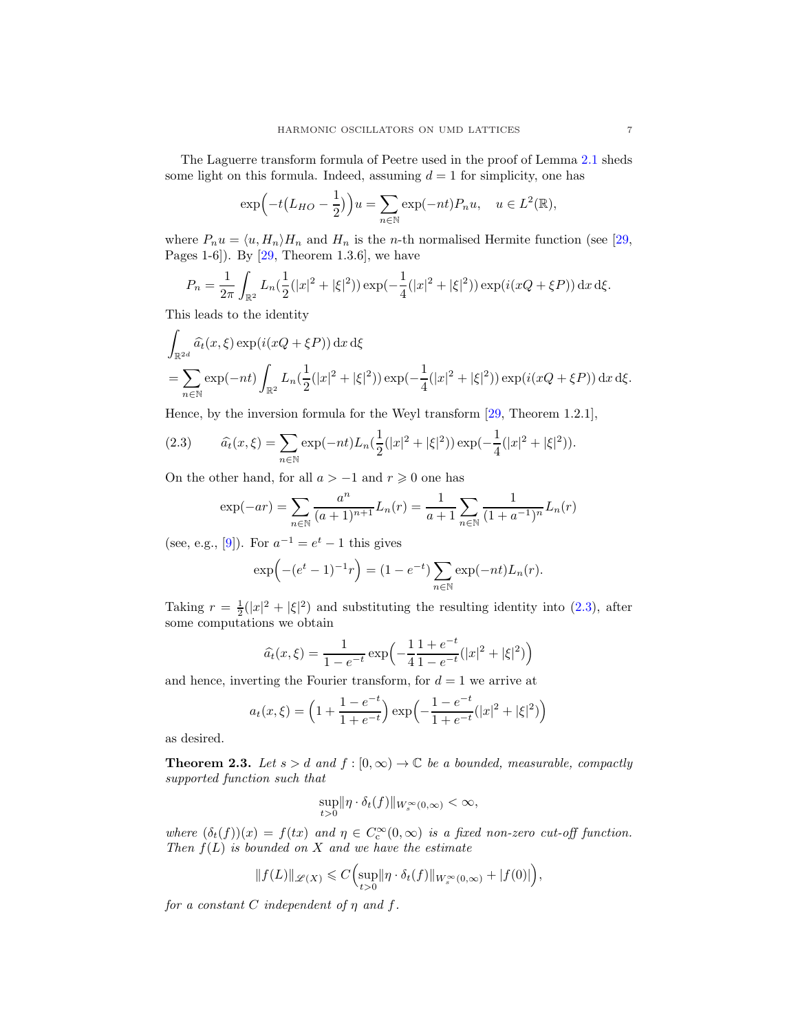The Laguerre transform formula of Peetre used in the proof of Lemma [2.1](#page-4-0) sheds some light on this formula. Indeed, assuming  $d = 1$  for simplicity, one has

$$
\exp\left(-t\left(L_{HO}-\frac{1}{2}\right)\right)u = \sum_{n\in\mathbb{N}} \exp(-nt)P_n u, \quad u \in L^2(\mathbb{R}),
$$

where  $P_nu = \langle u, H_n \rangle H_n$  and  $H_n$  is the n-th normalised Hermite function (see [\[29,](#page-12-1) Pages 1-6]). By  $[29,$  Theorem 1.3.6], we have

$$
P_n = \frac{1}{2\pi} \int_{\mathbb{R}^2} L_n(\frac{1}{2}(|x|^2 + |\xi|^2)) \exp(-\frac{1}{4}(|x|^2 + |\xi|^2)) \exp(i(xQ + \xi P)) dx d\xi.
$$

This leads to the identity

$$
\int_{\mathbb{R}^{2d}} \hat{a}_t(x,\xi) \exp(i(xQ + \xi P)) dx d\xi
$$
\n
$$
= \sum_{n \in \mathbb{N}} \exp(-nt) \int_{\mathbb{R}^2} L_n(\frac{1}{2}(|x|^2 + |\xi|^2)) \exp(-\frac{1}{4}(|x|^2 + |\xi|^2)) \exp(i(xQ + \xi P)) dx d\xi.
$$

Hence, by the inversion formula for the Weyl transform [\[29,](#page-12-1) Theorem 1.2.1],

<span id="page-6-1"></span>(2.3) 
$$
\widehat{a}_t(x,\xi) = \sum_{n \in \mathbb{N}} \exp(-nt) L_n(\frac{1}{2}(|x|^2 + |\xi|^2)) \exp(-\frac{1}{4}(|x|^2 + |\xi|^2)).
$$

On the other hand, for all  $a > -1$  and  $r \ge 0$  one has

$$
\exp(-ar) = \sum_{n \in \mathbb{N}} \frac{a^n}{(a+1)^{n+1}} L_n(r) = \frac{1}{a+1} \sum_{n \in \mathbb{N}} \frac{1}{(1+a^{-1})^n} L_n(r)
$$

(see, e.g., [\[9\]](#page-12-18)). For  $a^{-1} = e^t - 1$  this gives

$$
\exp(- (e^t - 1)^{-1}r) = (1 - e^{-t}) \sum_{n \in \mathbb{N}} \exp(-nt) L_n(r).
$$

Taking  $r = \frac{1}{2}(|x|^2 + |\xi|^2)$  and substituting the resulting identity into [\(2.3\)](#page-6-1), after some computations we obtain

$$
\widehat{a}_t(x,\xi) = \frac{1}{1 - e^{-t}} \exp\left(-\frac{1}{4} \frac{1 + e^{-t}}{1 - e^{-t}} (|x|^2 + |\xi|^2)\right)
$$

and hence, inverting the Fourier transform, for  $d = 1$  we arrive at

$$
a_t(x,\xi) = \left(1 + \frac{1 - e^{-t}}{1 + e^{-t}}\right) \exp\left(-\frac{1 - e^{-t}}{1 + e^{-t}}(|x|^2 + |\xi|^2)\right)
$$

as desired.

<span id="page-6-0"></span>**Theorem 2.3.** Let  $s > d$  and  $f : [0, \infty) \to \mathbb{C}$  be a bounded, measurable, compactly supported function such that

$$
\sup_{t>0} \|\eta \cdot \delta_t(f)\|_{W_s^{\infty}(0,\infty)} < \infty,
$$

where  $(\delta_t(f))(x) = f(tx)$  and  $\eta \in C_c^{\infty}(0, \infty)$  is a fixed non-zero cut-off function. Then  $f(L)$  is bounded on X and we have the estimate

$$
\|f(L)\|_{\mathscr{L}(X)}\leqslant C\Bigl(\sup_{t>0}\lVert \eta\cdot\delta_t(f)\rVert_{W^{\infty}_s(0,\infty)}+\lvert f(0)\rvert\Bigr),
$$

for a constant C independent of  $\eta$  and  $f$ .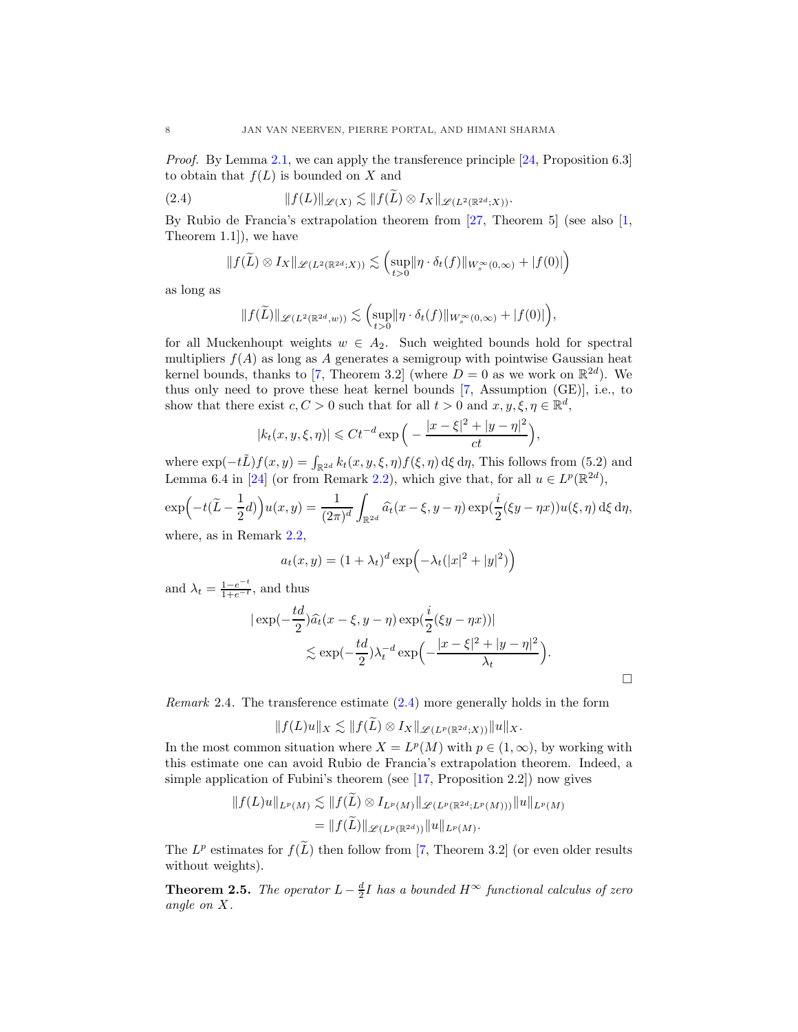Proof. By Lemma [2.1,](#page-4-0) we can apply the transference principle [\[24,](#page-12-5) Proposition 6.3] to obtain that  $f(L)$  is bounded on X and

<span id="page-7-0"></span>(2.4) 
$$
\|f(L)\|_{\mathscr{L}(X)} \lesssim \|f(L)\otimes I_X\|_{\mathscr{L}(L^2(\mathbb{R}^{2d};X))}.
$$

By Rubio de Francia's extrapolation theorem from [\[27,](#page-12-9) Theorem 5] (see also [\[1,](#page-11-2) Theorem 1.1]), we have

$$
\|f(\widetilde{L}) \otimes I_X\|_{\mathscr{L}(L^2(\mathbb{R}^{2d};X))} \lesssim \left(\sup_{t>0} \|\eta \cdot \delta_t(f)\|_{W^{\infty}_s(0,\infty)} + |f(0)|\right)
$$

as long as

$$
\|f(\widetilde{L})\|_{\mathscr L(L^2(\mathbb R^{2d},w))}\lesssim \Bigl(\sup_{t>0}\lVert \eta\cdot\delta_t(f)\rVert_{W^\infty_s(0,\infty)}+|f(0)|\Bigr),
$$

for all Muckenhoupt weights  $w \in A_2$ . Such weighted bounds hold for spectral multipliers  $f(A)$  as long as A generates a semigroup with pointwise Gaussian heat kernel bounds, thanks to [\[7,](#page-12-2) Theorem 3.2] (where  $D = 0$  as we work on  $\mathbb{R}^{2d}$ ). We thus only need to prove these heat kernel bounds [\[7,](#page-12-2) Assumption (GE)], i.e., to show that there exist  $c, C > 0$  such that for all  $t > 0$  and  $x, y, \xi, \eta \in \mathbb{R}^d$ ,

$$
|k_t(x, y, \xi, \eta)| \leq C t^{-d} \exp\left(-\frac{|x-\xi|^2 + |y-\eta|^2}{ct}\right),
$$

where  $\exp(-t\tilde{L})f(x,y) = \int_{\mathbb{R}^{2d}} k_t(x, y, \xi, \eta) f(\xi, \eta) d\xi d\eta$ , This follows from (5.2) and Lemma 6.4 in [\[24\]](#page-12-5) (or from Remark [2.2\)](#page-5-1), which give that, for all  $u \in L^p(\mathbb{R}^{2d})$ ,

$$
\exp\left(-t(\widetilde{L}-\frac{1}{2}d)\right)u(x,y) = \frac{1}{(2\pi)^d} \int_{\mathbb{R}^{2d}} \widehat{a_t}(x-\xi, y-\eta) \exp\left(\frac{i}{2}(\xi y - \eta x)\right)u(\xi, \eta) d\xi d\eta,
$$
  
where, as in Remark 2.2.

here, as in Remark

$$
a_t(x,y) = (1 + \lambda_t)^d \exp(-\lambda_t(|x|^2 + |y|^2))
$$

and  $\lambda_t = \frac{1-e^{-t}}{1+e^{-t}}$  $\frac{1-e^{-t}}{1+e^{-t}}$ , and thus

$$
\begin{aligned} |\exp(-\frac{td}{2})\widehat{a_t}(x-\xi, y-\eta) \exp(\frac{i}{2}(\xi y-\eta x))| \\ &\lesssim \exp(-\frac{td}{2})\lambda_t^{-d} \exp\left(-\frac{|x-\xi|^2+|y-\eta|^2}{\lambda_t}\right). \end{aligned}
$$

Remark 2.4. The transference estimate [\(2.4\)](#page-7-0) more generally holds in the form

 $||f(L)u||_X \lesssim ||f(\widetilde{L}) \otimes I_X||_{\mathscr{L}(L^p(\mathbb{R}^{2d};X))}||u||_X.$ 

In the most common situation where  $X = L^p(M)$  with  $p \in (1, \infty)$ , by working with this estimate one can avoid Rubio de Francia's extrapolation theorem. Indeed, a simple application of Fubini's theorem (see [\[17,](#page-12-10) Proposition 2.2]) now gives

$$
||f(L)u||_{L^p(M)} \lesssim ||f(\tilde{L}) \otimes I_{L^p(M)}||_{\mathscr{L}(L^p(\mathbb{R}^{2d};L^p(M)))}||u||_{L^p(M)}
$$
  
= 
$$
||f(\tilde{L})||_{\mathscr{L}(L^p(\mathbb{R}^{2d}))}||u||_{L^p(M)}.
$$

The  $L^p$  estimates for  $f(\tilde{L})$  then follow from [\[7,](#page-12-2) Theorem 3.2] (or even older results without weights).

<span id="page-7-1"></span>**Theorem 2.5.** The operator  $L - \frac{d}{2}I$  has a bounded  $H^{\infty}$  functional calculus of zero angle on X.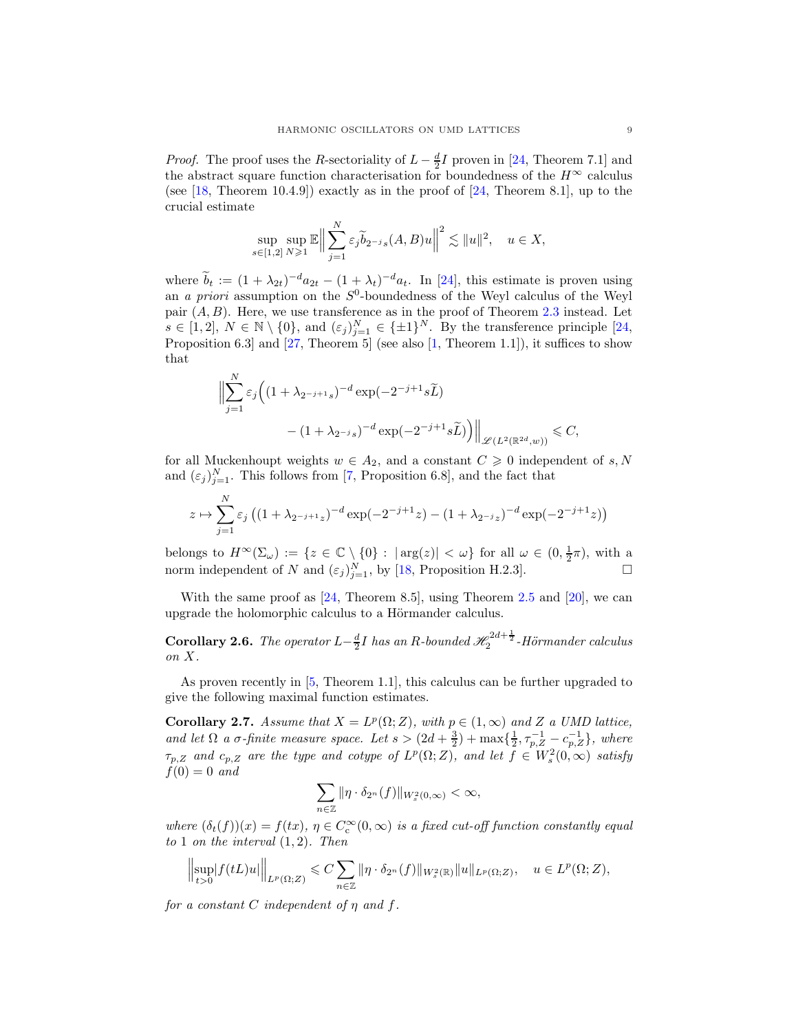*Proof.* The proof uses the R-sectoriality of  $L - \frac{d}{2}I$  proven in [\[24,](#page-12-5) Theorem 7.1] and the abstract square function characterisation for boundedness of the  $H^{\infty}$  calculus (see [\[18,](#page-12-12) Theorem 10.4.9]) exactly as in the proof of [\[24,](#page-12-5) Theorem 8.1], up to the crucial estimate

$$
\sup_{s\in[1,2]} \sup_{N\geq 1} \mathbb{E} \Big\|\sum_{j=1}^N \varepsilon_j \widetilde{b}_{2^{-j}s}(A,B)u\Big\|^2 \lesssim \|u\|^2, \quad u\in X,
$$

where  $b_t := (1 + \lambda_{2t})^{-d} a_{2t} - (1 + \lambda_t)^{-d} a_t$ . In [\[24\]](#page-12-5), this estimate is proven using an *a priori* assumption on the  $S^0$ -boundedness of the Weyl calculus of the Weyl pair  $(A, B)$ . Here, we use transference as in the proof of Theorem [2.3](#page-6-0) instead. Let  $s \in [1,2], N \in \mathbb{N} \setminus \{0\}, \text{ and } (\varepsilon_j)_{j=1}^N \in {\{\pm 1\}}^N$ . By the transference principle [\[24,](#page-12-5) Proposition 6.3] and [\[27,](#page-12-9) Theorem 5] (see also [\[1,](#page-11-2) Theorem 1.1]), it suffices to show that

$$
\Big\|\sum_{j=1}^N \varepsilon_j \Big((1+\lambda_{2^{-j+1}s})^{-d}\exp(-2^{-j+1}s\widetilde{L})\Big)
$$

$$
-\left(1+\lambda_{2^{-j}s}\right)^{-d}\exp(-2^{-j+1}s\widetilde{L})\Big)\Big\|_{\mathscr L(L^2(\mathbb R^{2d},w))} \leqslant C,
$$

for all Muckenhoupt weights  $w \in A_2$ , and a constant  $C \geq 0$  independent of s, N and  $(\varepsilon_j)_{j=1}^N$ . This follows from [\[7,](#page-12-2) Proposition 6.8], and the fact that

$$
z \mapsto \sum_{j=1}^{N} \varepsilon_j \left( (1 + \lambda_{2^{-j+1}z})^{-d} \exp(-2^{-j+1}z) - (1 + \lambda_{2^{-j}z})^{-d} \exp(-2^{-j+1}z) \right)
$$

belongs to  $H^{\infty}(\Sigma_{\omega}) := \{z \in \mathbb{C} \setminus \{0\} : |\arg(z)| < \omega\}$  for all  $\omega \in (0, \frac{1}{2}\pi)$ , with a norm independent of N and  $(\varepsilon_j)_{j=1}^N$ , by [\[18,](#page-12-12) Proposition H.2.3].

With the same proof as  $[24,$  Theorem 8.5, using Theorem [2.5](#page-7-1) and  $[20]$ , we can upgrade the holomorphic calculus to a Hörmander calculus.

**Corollary 2.6.** The operator  $L - \frac{d}{2}I$  has an R-bounded  $\mathcal{H}_2^{2d + \frac{1}{2}}$ -Hörmander calculus on X.

As proven recently in [\[5,](#page-11-3) Theorem 1.1], this calculus can be further upgraded to give the following maximal function estimates.

<span id="page-8-0"></span>Corollary 2.7. Assume that  $X = L^p(\Omega; Z)$ , with  $p \in (1, \infty)$  and Z a UMD lattice, and let  $\Omega$  a  $\sigma$ -finite measure space. Let  $s > (2d + \frac{3}{2}) + \max\{\frac{1}{2}, \tau_{p,Z}^{-1} - c_{p,Z}^{-1}\}$ , where  $\tau_{p,Z}$  and  $c_{p,Z}$  are the type and cotype of  $L^p(\Omega; Z)$ , and let  $f \in W_s^2(0, \infty)$  satisfy  $f(0) = 0$  and

$$
\sum_{n\in\mathbb{Z}} \|\eta \cdot \delta_{2^n}(f)\|_{W_s^2(0,\infty)} < \infty,
$$

where  $(\delta_t(f))(x) = f(tx), \, \eta \in C_c^{\infty}(0,\infty)$  is a fixed cut-off function constantly equal to 1 on the interval  $(1, 2)$ . Then

$$
\Big\|\underset{t>0}{\sup}\big|f(tL)u\big|\Big\|_{L^p(\Omega;Z)}\leqslant C\sum_{n\in\mathbb{Z}}\|\eta\cdot\delta_{2^n}(f)\|_{W^2_s(\mathbb{R})}\|u\|_{L^p(\Omega;Z)},\quad u\in L^p(\Omega;Z),
$$

for a constant C independent of  $\eta$  and  $f$ .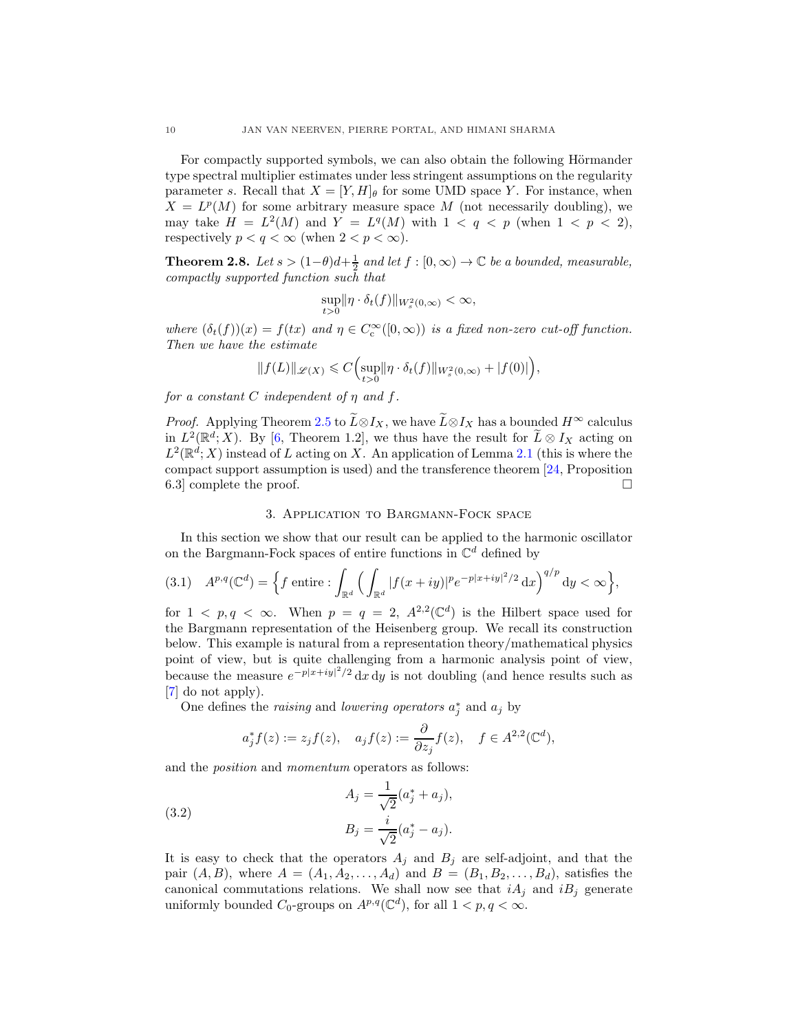For compactly supported symbols, we can also obtain the following Hörmander type spectral multiplier estimates under less stringent assumptions on the regularity parameter s. Recall that  $X = [Y, H]_\theta$  for some UMD space Y. For instance, when  $X = L^p(M)$  for some arbitrary measure space M (not necessarily doubling), we may take  $H = L^2(M)$  and  $Y = L^q(M)$  with  $1 < q < p$  (when  $1 < p < 2$ ), respectively  $p < q < \infty$  (when  $2 < p < \infty$ ).

<span id="page-9-0"></span>**Theorem 2.8.** Let  $s > (1-\theta)d+\frac{1}{2}$  and let  $f : [0, \infty) \to \mathbb{C}$  be a bounded, measurable, compactly supported function such that

$$
\sup_{t>0} \|\eta \cdot \delta_t(f)\|_{W_s^2(0,\infty)} < \infty,
$$

where  $(\delta_t(f))(x) = f(tx)$  and  $\eta \in C_c^{\infty}([0,\infty))$  is a fixed non-zero cut-off function. Then we have the estimate

$$
||f(L)||_{\mathscr{L}(X)} \leq C \Big(\sup_{t>0} ||\eta \cdot \delta_t(f)||_{W_s^2(0,\infty)} + |f(0)|\Big),
$$

for a constant C independent of  $\eta$  and  $f$ .

*Proof.* Applying Theorem [2.5](#page-7-1) to  $\widetilde{L} \otimes I_X$ , we have  $\widetilde{L} \otimes I_X$  has a bounded  $H^{\infty}$  calculus in  $L^2(\mathbb{R}^d; X)$ . By [\[6,](#page-12-19) Theorem 1.2], we thus have the result for  $\widetilde{L} \otimes I_X$  acting on  $L^2(\mathbb{R}^d;X)$  instead of L acting on X. An application of Lemma [2.1](#page-4-0) (this is where the compact support assumption is used) and the transference theorem [\[24,](#page-12-5) Proposition 6.3 complete the proof.

# 3. Application to Bargmann-Fock space

<span id="page-9-1"></span>In this section we show that our result can be applied to the harmonic oscillator on the Bargmann-Fock spaces of entire functions in  $\mathbb{C}^d$  defined by

(3.1) 
$$
A^{p,q}(\mathbb{C}^d) = \left\{ f \text{ entire} : \int_{\mathbb{R}^d} \Big( \int_{\mathbb{R}^d} |f(x+iy)|^p e^{-p|x+iy|^2/2} dx \Big)^{q/p} dy < \infty \right\},
$$

for  $1 \leq p, q \leq \infty$ . When  $p = q = 2, A^{2,2}(\mathbb{C}^d)$  is the Hilbert space used for the Bargmann representation of the Heisenberg group. We recall its construction below. This example is natural from a representation theory/mathematical physics point of view, but is quite challenging from a harmonic analysis point of view, because the measure  $e^{-p|x+iy|^2/2} dx dy$  is not doubling (and hence results such as [\[7\]](#page-12-2) do not apply).

One defines the *raising* and *lowering operators*  $a_j^*$  and  $a_j$  by

$$
a_j^* f(z):=z_j f(z), \quad a_j f(z):=\frac{\partial}{\partial z_j} f(z), \quad f\in A^{2,2}(\mathbb{C}^d),
$$

and the position and momentum operators as follows:

(3.2) 
$$
A_j = \frac{1}{\sqrt{2}} (a_j^* + a_j),
$$

$$
B_j = \frac{i}{\sqrt{2}} (a_j^* - a_j).
$$

It is easy to check that the operators  $A_j$  and  $B_j$  are self-adjoint, and that the pair  $(A, B)$ , where  $A = (A_1, A_2, ..., A_d)$  and  $B = (B_1, B_2, ..., B_d)$ , satisfies the canonical commutations relations. We shall now see that  $iA_i$  and  $iB_j$  generate uniformly bounded  $C_0$ -groups on  $A^{p,q}(\mathbb{C}^d)$ , for all  $1 < p, q < \infty$ .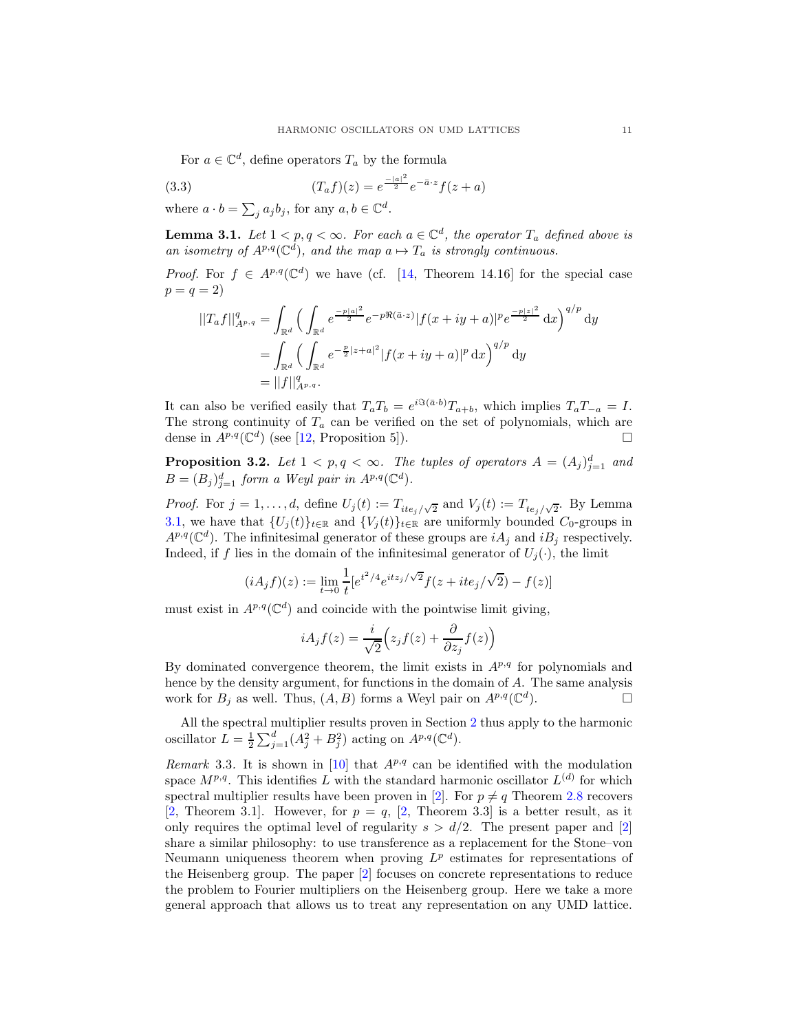For  $a \in \mathbb{C}^d$ , define operators  $T_a$  by the formula

(3.3) 
$$
(T_a f)(z) = e^{\frac{-|a|^2}{2}} e^{-\bar{a} \cdot z} f(z+a)
$$

where  $a \cdot b = \sum_j a_j b_j$ , for any  $a, b \in \mathbb{C}^d$ .

<span id="page-10-1"></span>**Lemma 3.1.** Let  $1 \leq p, q \leq \infty$ . For each  $a \in \mathbb{C}^d$ , the operator  $T_a$  defined above is an isometry of  $A^{p,q}(\mathbb{C}^d)$ , and the map  $a \mapsto T_a$  is strongly continuous.

*Proof.* For  $f \in A^{p,q}(\mathbb{C}^d)$  we have (cf. [\[14,](#page-12-3) Theorem 14.16] for the special case  $p = q = 2$ 

$$
||T_a f||_{A^{p,q}}^q = \int_{\mathbb{R}^d} \left( \int_{\mathbb{R}^d} e^{-\frac{p|a|^2}{2}} e^{-p\Re(\bar{a}\cdot z)} |f(x+iy+a)|^p e^{\frac{-p|z|^2}{2}} dx \right)^{q/p} dy
$$
  
= 
$$
\int_{\mathbb{R}^d} \left( \int_{\mathbb{R}^d} e^{-\frac{p}{2}|z+a|^2} |f(x+iy+a)|^p dx \right)^{q/p} dy
$$
  
= 
$$
||f||_{A^{p,q}}^q.
$$

It can also be verified easily that  $T_aT_b = e^{i\Im(\bar{a}\cdot b)}T_{a+b}$ , which implies  $T_aT_{-a} = I$ . The strong continuity of  $T_a$  can be verified on the set of polynomials, which are dense in  $A^{p,q}(\mathbb{C}^d)$  (see [\[12,](#page-12-20) Proposition 5]).

**Proposition 3.2.** Let  $1 < p, q < \infty$ . The tuples of operators  $A = (A_j)_{j=1}^d$  and  $B = (B_j)_{j=1}^d$  form a Weyl pair in  $A^{p,q}(\mathbb{C}^d)$ .

*Proof.* For  $j = 1, ..., d$ , define  $U_j(t) := T_{ite_j/\sqrt{2}}$  and  $V_j(t) := T_{te_j/\sqrt{2}}$ . By Lemma [3.1,](#page-10-1) we have that  $\{U_j(t)\}_{t\in\mathbb{R}}$  and  $\{V_j(t)\}_{t\in\mathbb{R}}$  are uniformly bounded  $C_0$ -groups in  $A^{p,q}(\mathbb{C}^d)$ . The infinitesimal generator of these groups are  $iA_j$  and  $iB_j$  respectively. Indeed, if f lies in the domain of the infinitesimal generator of  $U_j(\cdot)$ , the limit

$$
(iA_j f)(z) := \lim_{t \to 0} \frac{1}{t} [e^{t^2/4} e^{itz_j/\sqrt{2}} f(z + ite_j/\sqrt{2}) - f(z)]
$$

must exist in  $A^{p,q}(\mathbb{C}^d)$  and coincide with the pointwise limit giving,

$$
iA_j f(z) = \frac{i}{\sqrt{2}} \Big( z_j f(z) + \frac{\partial}{\partial z_j} f(z) \Big)
$$

By dominated convergence theorem, the limit exists in  $A^{p,q}$  for polynomials and hence by the density argument, for functions in the domain of A. The same analysis work for  $B_j$  as well. Thus,  $(A, B)$  forms a Weyl pair on  $A^{p,q}(\mathbb{C}^d)$  $\Box$ 

All the spectral multiplier results proven in Section [2](#page-3-1) thus apply to the harmonic oscillator  $L = \frac{1}{2} \sum_{j=1}^{d} (A_j^2 + B_j^2)$  acting on  $A^{p,q}(\mathbb{C}^d)$ .

<span id="page-10-0"></span>Remark 3.3. It is shown in [\[10\]](#page-12-15) that  $A^{p,q}$  can be identified with the modulation space  $M^{p,q}$ . This identifies L with the standard harmonic oscillator  $L^{(d)}$  for which spectral multiplier results have been proven in [\[2\]](#page-11-1). For  $p \neq q$  Theorem [2.8](#page-9-0) recovers [\[2,](#page-11-1) Theorem 3.1]. However, for  $p = q$ , [\[2,](#page-11-1) Theorem 3.3] is a better result, as it only requires the optimal level of regularity  $s > d/2$ . The present paper and [\[2\]](#page-11-1) share a similar philosophy: to use transference as a replacement for the Stone–von Neumann uniqueness theorem when proving  $L^p$  estimates for representations of the Heisenberg group. The paper [\[2\]](#page-11-1) focuses on concrete representations to reduce the problem to Fourier multipliers on the Heisenberg group. Here we take a more general approach that allows us to treat any representation on any UMD lattice.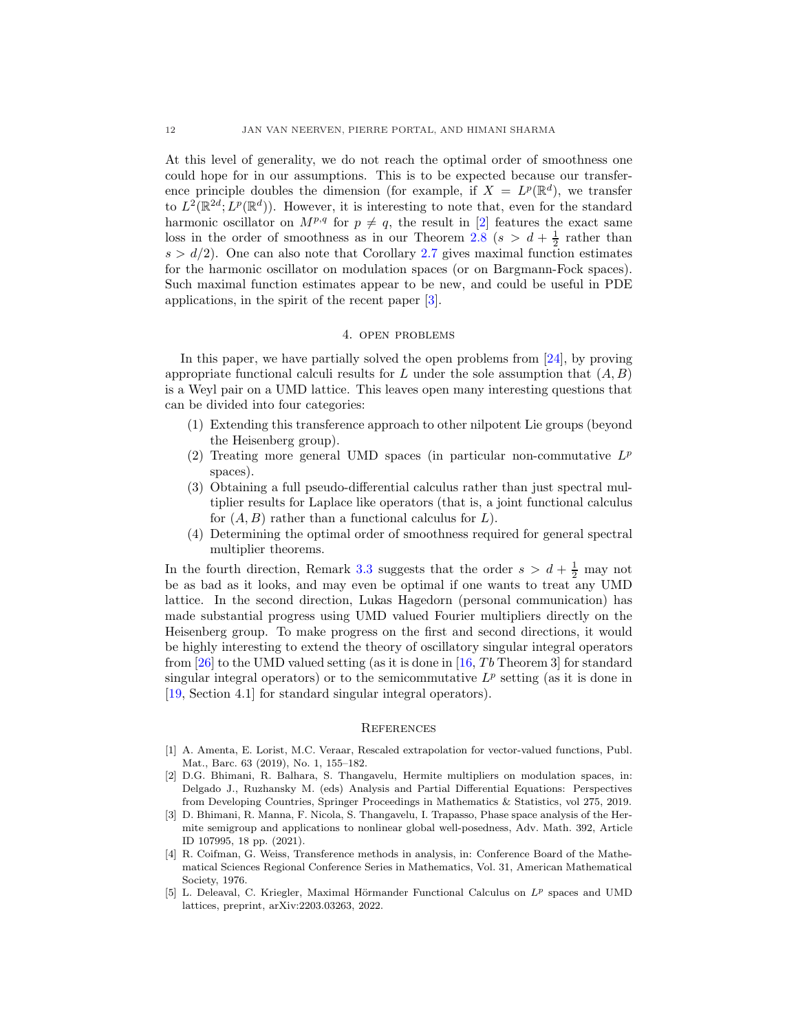At this level of generality, we do not reach the optimal order of smoothness one could hope for in our assumptions. This is to be expected because our transference principle doubles the dimension (for example, if  $X = L^p(\mathbb{R}^d)$ , we transfer to  $L^2(\mathbb{R}^{2d}; L^p(\mathbb{R}^d))$ . However, it is interesting to note that, even for the standard harmonic oscillator on  $M^{p,q}$  for  $p \neq q$ , the result in [\[2\]](#page-11-1) features the exact same loss in the order of smoothness as in our Theorem [2.8](#page-9-0) ( $s > d + \frac{1}{2}$  rather than  $s > d/2$ ). One can also note that Corollary [2.7](#page-8-0) gives maximal function estimates for the harmonic oscillator on modulation spaces (or on Bargmann-Fock spaces). Such maximal function estimates appear to be new, and could be useful in PDE applications, in the spirit of the recent paper [\[3\]](#page-11-4).

### 4. open problems

In this paper, we have partially solved the open problems from [\[24\]](#page-12-5), by proving appropriate functional calculi results for L under the sole assumption that  $(A, B)$ is a Weyl pair on a UMD lattice. This leaves open many interesting questions that can be divided into four categories:

- (1) Extending this transference approach to other nilpotent Lie groups (beyond the Heisenberg group).
- (2) Treating more general UMD spaces (in particular non-commutative  $L^p$ spaces).
- (3) Obtaining a full pseudo-differential calculus rather than just spectral multiplier results for Laplace like operators (that is, a joint functional calculus for  $(A, B)$  rather than a functional calculus for  $L$ ).
- (4) Determining the optimal order of smoothness required for general spectral multiplier theorems.

In the fourth direction, Remark [3.3](#page-10-0) suggests that the order  $s > d + \frac{1}{2}$  may not be as bad as it looks, and may even be optimal if one wants to treat any UMD lattice. In the second direction, Lukas Hagedorn (personal communication) has made substantial progress using UMD valued Fourier multipliers directly on the Heisenberg group. To make progress on the first and second directions, it would be highly interesting to extend the theory of oscillatory singular integral operators from [\[26\]](#page-12-21) to the UMD valued setting (as it is done in [\[16,](#page-12-22)  $Tb$  Theorem 3] for standard singular integral operators) or to the semicommutative  $L^p$  setting (as it is done in [\[19,](#page-12-23) Section 4.1] for standard singular integral operators).

## **REFERENCES**

- <span id="page-11-2"></span>[1] A. Amenta, E. Lorist, M.C. Veraar, Rescaled extrapolation for vector-valued functions, Publ. Mat., Barc. 63 (2019), No. 1, 155–182.
- <span id="page-11-1"></span>[2] D.G. Bhimani, R. Balhara, S. Thangavelu, Hermite multipliers on modulation spaces, in: Delgado J., Ruzhansky M. (eds) Analysis and Partial Differential Equations: Perspectives from Developing Countries, Springer Proceedings in Mathematics & Statistics, vol 275, 2019.
- <span id="page-11-4"></span>[3] D. Bhimani, R. Manna, F. Nicola, S. Thangavelu, I. Trapasso, Phase space analysis of the Hermite semigroup and applications to nonlinear global well-posedness, Adv. Math. 392, Article ID 107995, 18 pp. (2021).
- <span id="page-11-0"></span>[4] R. Coifman, G. Weiss, Transference methods in analysis, in: Conference Board of the Mathematical Sciences Regional Conference Series in Mathematics, Vol. 31, American Mathematical Society, 1976.
- <span id="page-11-3"></span>[5] L. Deleaval, C. Kriegler, Maximal Hörmander Functional Calculus on  $L^p$  spaces and UMD lattices, preprint, arXiv:2203.03263, 2022.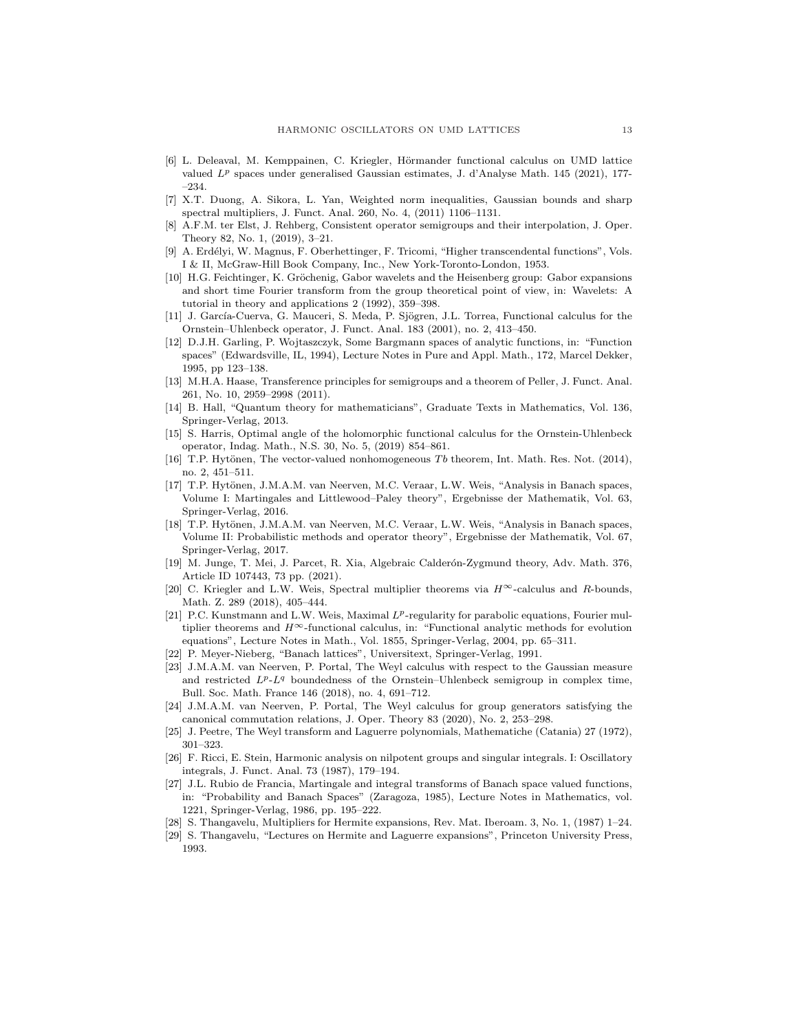- <span id="page-12-19"></span>[6] L. Deleaval, M. Kemppainen, C. Kriegler, Hörmander functional calculus on UMD lattice valued  $L^p$  spaces under generalised Gaussian estimates, J. d'Analyse Math. 145 (2021), 177-–234.
- <span id="page-12-16"></span><span id="page-12-2"></span>[7] X.T. Duong, A. Sikora, L. Yan, Weighted norm inequalities, Gaussian bounds and sharp spectral multipliers, J. Funct. Anal. 260, No. 4, (2011) 1106–1131.
- [8] A.F.M. ter Elst, J. Rehberg, Consistent operator semigroups and their interpolation, J. Oper. Theory 82, No. 1, (2019), 3–21.
- <span id="page-12-18"></span>[9] A. Erdélyi, W. Magnus, F. Oberhettinger, F. Tricomi, "Higher transcendental functions", Vols. I & II, McGraw-Hill Book Company, Inc., New York-Toronto-London, 1953.
- <span id="page-12-15"></span>[10] H.G. Feichtinger, K. Gröchenig, Gabor wavelets and the Heisenberg group: Gabor expansions and short time Fourier transform from the group theoretical point of view, in: Wavelets: A tutorial in theory and applications 2 (1992), 359–398.
- <span id="page-12-6"></span>[11] J. García-Cuerva, G. Mauceri, S. Meda, P. Sjögren, J.L. Torrea, Functional calculus for the Ornstein–Uhlenbeck operator, J. Funct. Anal. 183 (2001), no. 2, 413–450.
- <span id="page-12-20"></span>[12] D.J.H. Garling, P. Wojtaszczyk, Some Bargmann spaces of analytic functions, in: "Function spaces" (Edwardsville, IL, 1994), Lecture Notes in Pure and Appl. Math., 172, Marcel Dekker, 1995, pp 123–138.
- <span id="page-12-8"></span>[13] M.H.A. Haase, Transference principles for semigroups and a theorem of Peller, J. Funct. Anal. 261, No. 10, 2959–2998 (2011).
- <span id="page-12-3"></span>[14] B. Hall, "Quantum theory for mathematicians", Graduate Texts in Mathematics, Vol. 136, Springer-Verlag, 2013.
- <span id="page-12-7"></span>[15] S. Harris, Optimal angle of the holomorphic functional calculus for the Ornstein-Uhlenbeck operator, Indag. Math., N.S. 30, No. 5, (2019) 854–861.
- <span id="page-12-22"></span>[16] T.P. Hytönen, The vector-valued nonhomogeneous Tb theorem, Int. Math. Res. Not. (2014), no. 2, 451–511.
- <span id="page-12-10"></span>[17] T.P. Hytönen, J.M.A.M. van Neerven, M.C. Veraar, L.W. Weis, "Analysis in Banach spaces, Volume I: Martingales and Littlewood–Paley theory", Ergebnisse der Mathematik, Vol. 63, Springer-Verlag, 2016.
- <span id="page-12-12"></span>[18] T.P. Hytönen, J.M.A.M. van Neerven, M.C. Veraar, L.W. Weis, "Analysis in Banach spaces, Volume II: Probabilistic methods and operator theory", Ergebnisse der Mathematik, Vol. 67, Springer-Verlag, 2017.
- <span id="page-12-23"></span>[19] M. Junge, T. Mei, J. Parcet, R. Xia, Algebraic Calder´on-Zygmund theory, Adv. Math. 376, Article ID 107443, 73 pp. (2021).
- <span id="page-12-14"></span>[20] C. Kriegler and L.W. Weis, Spectral multiplier theorems via  $H^{\infty}$ -calculus and R-bounds, Math. Z. 289 (2018), 405–444.
- <span id="page-12-13"></span>[21] P.C. Kunstmann and L.W. Weis, Maximal  $L^p$ -regularity for parabolic equations, Fourier multiplier theorems and  $H^{\infty}$ -functional calculus, in: "Functional analytic methods for evolution equations", Lecture Notes in Math., Vol. 1855, Springer-Verlag, 2004, pp. 65–311.
- <span id="page-12-11"></span><span id="page-12-4"></span>[22] P. Meyer-Nieberg, "Banach lattices", Universitext, Springer-Verlag, 1991.
- [23] J.M.A.M. van Neerven, P. Portal, The Weyl calculus with respect to the Gaussian measure and restricted  $L^p L^q$  boundedness of the Ornstein–Uhlenbeck semigroup in complex time, Bull. Soc. Math. France 146 (2018), no. 4, 691–712.
- <span id="page-12-5"></span>[24] J.M.A.M. van Neerven, P. Portal, The Weyl calculus for group generators satisfying the canonical commutation relations, J. Oper. Theory 83 (2020), No. 2, 253–298.
- <span id="page-12-21"></span><span id="page-12-17"></span>[25] J. Peetre, The Weyl transform and Laguerre polynomials, Mathematiche (Catania) 27 (1972), 301–323.
- [26] F. Ricci, E. Stein, Harmonic analysis on nilpotent groups and singular integrals. I: Oscillatory integrals, J. Funct. Anal. 73 (1987), 179–194.
- <span id="page-12-9"></span>[27] J.L. Rubio de Francia, Martingale and integral transforms of Banach space valued functions, in: "Probability and Banach Spaces" (Zaragoza, 1985), Lecture Notes in Mathematics, vol. 1221, Springer-Verlag, 1986, pp. 195–222.
- <span id="page-12-1"></span><span id="page-12-0"></span>[28] S. Thangavelu, Multipliers for Hermite expansions, Rev. Mat. Iberoam. 3, No. 1, (1987) 1–24.
- [29] S. Thangavelu, "Lectures on Hermite and Laguerre expansions", Princeton University Press, 1993.